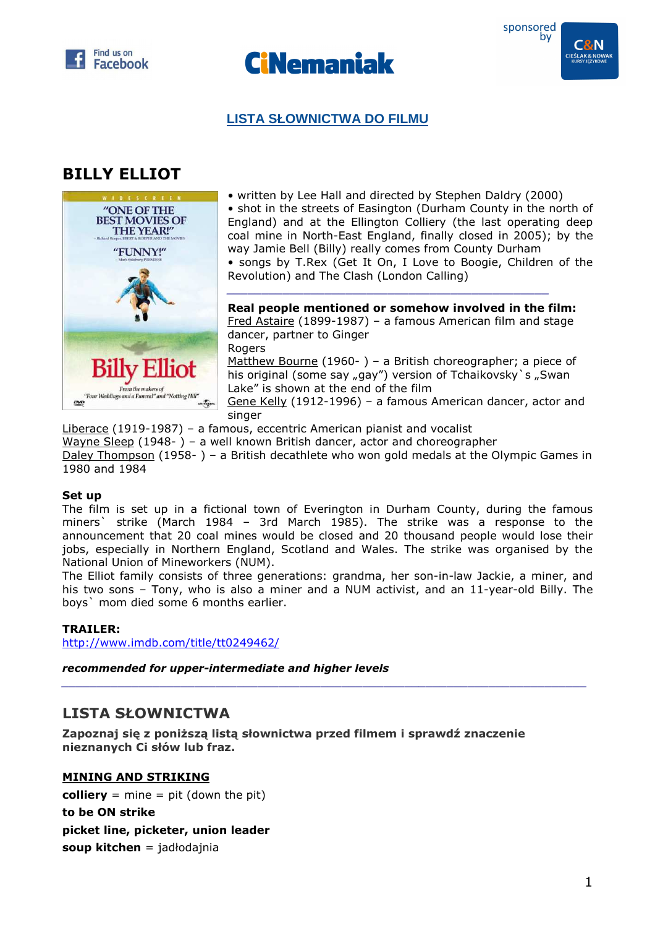





# **LISTA SŁOWNICTWA DO FILMU**

# **BILLY ELLIOT**



• written by Lee Hall and directed by Stephen Daldry (2000) • shot in the streets of Easington (Durham County in the north of England) and at the Ellington Colliery (the last operating deep coal mine in North-East England, finally closed in 2005); by the way Jamie Bell (Billy) really comes from County Durham • songs by T.Rex (Get It On, I Love to Boogie, Children of the Revolution) and The Clash (London Calling)

**Real people mentioned or somehow involved in the film:**  Fred Astaire (1899-1987) – a famous American film and stage dancer, partner to Ginger Rogers Matthew Bourne (1960- ) – a British choreographer; a piece of his original (some say "gay") version of Tchaikovsky`s "Swan Lake" is shown at the end of the film Gene Kelly (1912-1996) – a famous American dancer, actor and singer

*\_\_\_\_\_\_\_\_\_\_\_\_\_\_\_\_\_\_\_\_\_\_\_\_\_\_\_\_\_\_\_\_\_\_\_\_\_\_\_\_\_\_\_\_\_\_* 

Liberace (1919-1987) – a famous, eccentric American pianist and vocalist Wayne Sleep (1948- ) – a well known British dancer, actor and choreographer Daley Thompson (1958- ) – a British decathlete who won gold medals at the Olympic Games in 1980 and 1984

#### **Set up**

The film is set up in a fictional town of Everington in Durham County, during the famous miners` strike (March 1984 – 3rd March 1985). The strike was a response to the announcement that 20 coal mines would be closed and 20 thousand people would lose their jobs, especially in Northern England, Scotland and Wales. The strike was organised by the National Union of Mineworkers (NUM).

The Elliot family consists of three generations: grandma, her son-in-law Jackie, a miner, and his two sons – Tony, who is also a miner and a NUM activist, and an 11-year-old Billy. The boys` mom died some 6 months earlier.

*\_\_\_\_\_\_\_\_\_\_\_\_\_\_\_\_\_\_\_\_\_\_\_\_\_\_\_\_\_\_\_\_\_\_\_\_\_\_\_\_\_\_\_\_\_\_\_\_\_\_\_\_\_\_\_\_\_\_\_\_\_\_\_\_\_\_\_\_\_\_\_\_\_\_\_* 

#### **TRAILER:**

http://www.imdb.com/title/tt0249462/

*recommended for upper-intermediate and higher levels* 

# **LISTA SŁOWNICTWA**

**Zapoznaj się z poniższą listą słownictwa przed filmem i sprawdź znaczenie nieznanych Ci słów lub fraz.** 

#### **MINING AND STRIKING**

**colliery** = mine = pit (down the pit) **to be ON strike picket line, picketer, union leader soup kitchen** = jadłodajnia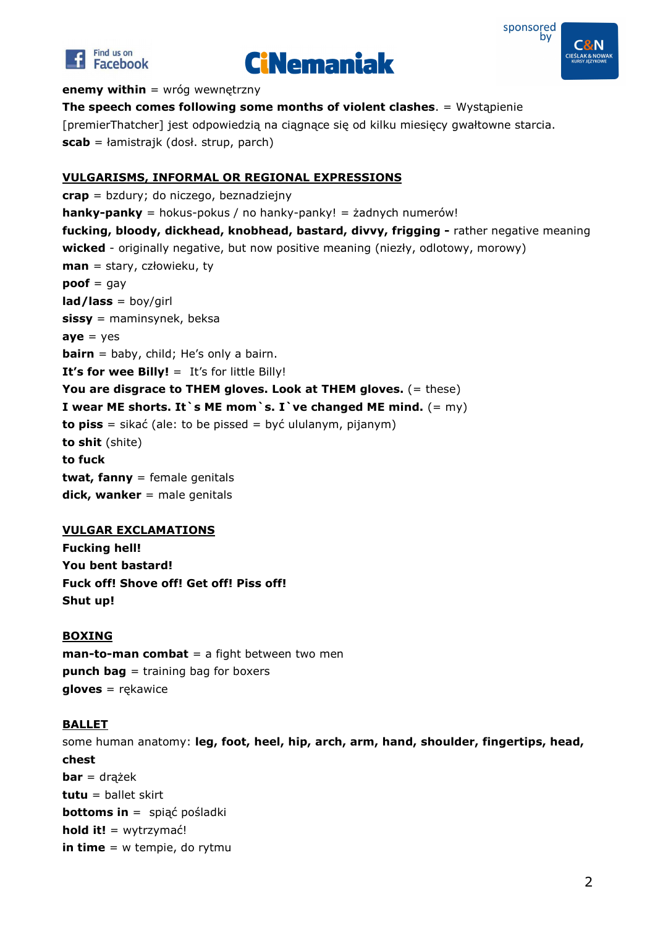





**enemy within** = wróg wewnętrzny

**The speech comes following some months of violent clashes**. = Wystąpienie [premierThatcher] jest odpowiedzią na ciągnące się od kilku miesięcy gwałtowne starcia. **scab** = łamistrajk (dosł. strup, parch)

## **VULGARISMS, INFORMAL OR REGIONAL EXPRESSIONS**

**crap** = bzdury; do niczego, beznadziejny **hanky-panky** = hokus-pokus / no hanky-panky! = żadnych numerów! **fucking, bloody, dickhead, knobhead, bastard, divvy, frigging -** rather negative meaning **wicked** - originally negative, but now positive meaning (niezły, odlotowy, morowy) **man** = stary, człowieku, ty **poof** = gay **lad/lass** = boy/girl **sissy** = maminsynek, beksa  $ave = yes$ **bairn** = baby, child; He's only a bairn. **It's for wee Billy!** = It's for little Billy! **You are disgrace to THEM gloves. Look at THEM gloves.** (= these) **I** wear ME shorts. It `s ME mom `s. I `ve changed ME mind.  $(= m\gamma)$ **to piss** = sikać (ale: to be pissed = być ululanym, pijanym) **to shit** (shite) **to fuck twat, fanny** = female genitals **dick, wanker** = male genitals

#### **VULGAR EXCLAMATIONS**

**Fucking hell! You bent bastard! Fuck off! Shove off! Get off! Piss off! Shut up!** 

#### **BOXING**

**man-to-man combat** = a fight between two men **punch bag** = training bag for boxers **gloves** = rękawice

## **BALLET**

some human anatomy: **leg, foot, heel, hip, arch, arm, hand, shoulder, fingertips, head, chest bar** = drążek **tutu** = ballet skirt **bottoms in** = spiąć pośladki **hold it!** = wytrzymać! **in time** = w tempie, do rytmu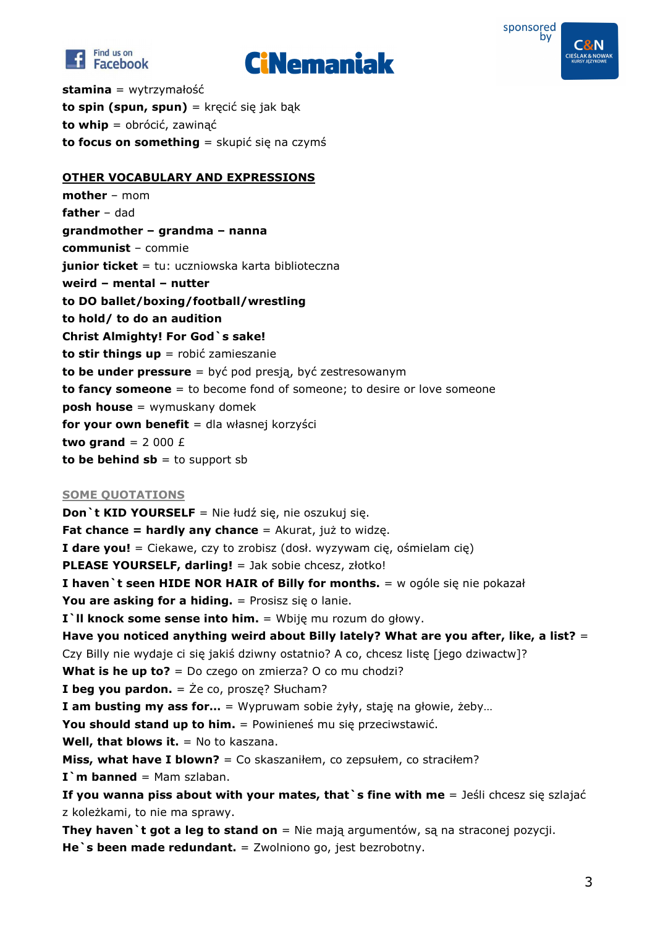





**stamina** = wytrzymałość **to spin (spun, spun)** = kręcić się jak bąk **to whip** = obrócić, zawinąć **to focus on something** = skupić się na czymś

## **OTHER VOCABULARY AND EXPRESSIONS**

**mother** – mom **father** – dad **grandmother – grandma – nanna communist** – commie **junior ticket** = tu: uczniowska karta biblioteczna **weird – mental – nutter to DO ballet/boxing/football/wrestling to hold/ to do an audition Christ Almighty! For God`s sake! to stir things up** = robić zamieszanie **to be under pressure** = być pod presją, być zestresowanym **to fancy someone** = to become fond of someone; to desire or love someone **posh house** = wymuskany domek **for your own benefit** = dla własnej korzyści **two grand** =  $2000 \text{ E}$ **to be behind**  $sb = to support sb$ 

## **SOME QUOTATIONS**

**Don`t KID YOURSELF** = Nie łudź się, nie oszukuj się. **Fat chance = hardly any chance** = Akurat, już to widzę. **I dare you!** = Ciekawe, czy to zrobisz (dosł. wyzywam cię, ośmielam cię) **PLEASE YOURSELF, darling!** = Jak sobie chcesz, złotko! **I haven`t seen HIDE NOR HAIR of Billy for months.** = w ogóle się nie pokazał **You are asking for a hiding.** = Prosisz się o lanie. **I`ll knock some sense into him.** = Wbiję mu rozum do głowy. **Have you noticed anything weird about Billy lately? What are you after, like, a list?** = Czy Billy nie wydaje ci się jakiś dziwny ostatnio? A co, chcesz listę [jego dziwactw]? **What is he up to?** = Do czego on zmierza? O co mu chodzi? **I beg you pardon.** = Że co, proszę? Słucham? **I am busting my ass for…** = Wypruwam sobie żyły, staję na głowie, żeby… **You should stand up to him.** = Powinieneś mu się przeciwstawić. **Well, that blows it.** = No to kaszana. **Miss, what have I blown?** = Co skaszaniłem, co zepsułem, co straciłem? **I`m banned** = Mam szlaban. **If you wanna piss about with your mates, that`s fine with me** = Jeśli chcesz się szlajać z koleżkami, to nie ma sprawy. **They haven** it got a leg to stand on = Nie mają argumentów, są na straconej pozycji.

**He** `s been made redundant. = Zwolniono go, jest bezrobotny.